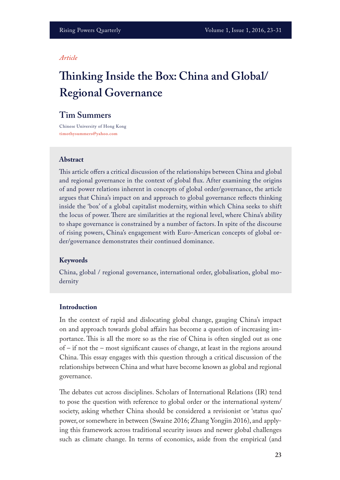#### *Article*

# **Tinking Inside the Box: China and Global/ Regional Governance**

## **Tim Summers**

Chinese University of Hong Kong **timothysummers@yahoo.com**

#### **Abstract**

This article offers a critical discussion of the relationships between China and global and regional governance in the context of global fux. After examining the origins of and power relations inherent in concepts of global order/governance, the article argues that China's impact on and approach to global governance refects thinking inside the 'box' of a global capitalist modernity, within which China seeks to shift the locus of power. There are similarities at the regional level, where China's ability to shape governance is constrained by a number of factors. In spite of the discourse of rising powers, China's engagement with Euro-American concepts of global order/governance demonstrates their continued dominance.

#### **Keywords**

China, global / regional governance, international order, globalisation, global modernity

#### **Introduction**

In the context of rapid and dislocating global change, gauging China's impact on and approach towards global afairs has become a question of increasing importance. This is all the more so as the rise of China is often singled out as one of – if not the – most signifcant causes of change, at least in the regions around China. This essay engages with this question through a critical discussion of the relationships between China and what have become known as global and regional governance.

The debates cut across disciplines. Scholars of International Relations (IR) tend to pose the question with reference to global order or the international system/ society, asking whether China should be considered a revisionist or 'status quo' power, or somewhere in between (Swaine 2016; Zhang Yongjin 2016), and applying this framework across traditional security issues and newer global challenges such as climate change. In terms of economics, aside from the empirical (and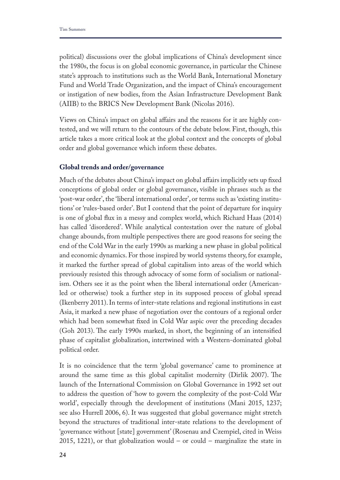political) discussions over the global implications of China's development since the 1980s, the focus is on global economic governance, in particular the Chinese state's approach to institutions such as the World Bank, International Monetary Fund and World Trade Organization, and the impact of China's encouragement or instigation of new bodies, from the Asian Infrastructure Development Bank (AIIB) to the BRICS New Development Bank (Nicolas 2016).

Views on China's impact on global afairs and the reasons for it are highly contested, and we will return to the contours of the debate below. First, though, this article takes a more critical look at the global context and the concepts of global order and global governance which inform these debates.

## **Global trends and order/governance**

Much of the debates about China's impact on global affairs implicitly sets up fixed conceptions of global order or global governance, visible in phrases such as the 'post-war order', the 'liberal international order', or terms such as 'existing institutions' or 'rules-based order'. But I contend that the point of departure for inquiry is one of global fux in a messy and complex world, which Richard Haas (2014) has called 'disordered'. While analytical contestation over the nature of global change abounds, from multiple perspectives there are good reasons for seeing the end of the Cold War in the early 1990s as marking a new phase in global political and economic dynamics. For those inspired by world systems theory, for example, it marked the further spread of global capitalism into areas of the world which previously resisted this through advocacy of some form of socialism or nationalism. Others see it as the point when the liberal international order (Americanled or otherwise) took a further step in its supposed process of global spread (Ikenberry 2011). In terms of inter-state relations and regional institutions in east Asia, it marked a new phase of negotiation over the contours of a regional order which had been somewhat fxed in Cold War aspic over the preceding decades (Goh 2013). The early 1990s marked, in short, the beginning of an intensified phase of capitalist globalization, intertwined with a Western-dominated global political order.

It is no coincidence that the term 'global governance' came to prominence at around the same time as this global capitalist modernity (Dirlik 2007). The launch of the International Commission on Global Governance in 1992 set out to address the question of 'how to govern the complexity of the post-Cold War world', especially through the development of institutions (Mani 2015, 1237; see also Hurrell 2006, 6). It was suggested that global governance might stretch beyond the structures of traditional inter-state relations to the development of 'governance without [state] government' (Rosenau and Czempiel, cited in Weiss 2015, 1221), or that globalization would – or could – marginalize the state in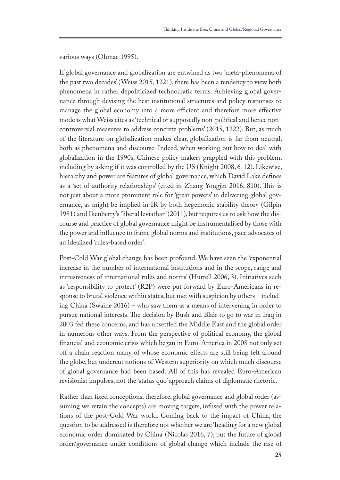various ways (Ohmae 1995).

If global governance and globalization are entwined as two 'meta-phenomena of the past two decades' (Weiss 2015, 1221), there has been a tendency to view both phenomena in rather depoliticized technocratic terms. Achieving global governance through devising the best institutional structures and policy responses to manage the global economy into a more efficient and therefore more effective mode is what Weiss cites as 'technical or supposedly non-political and hence noncontroversial measures to address concrete problems' (2015, 1222). But, as much of the literature on globalization makes clear, globalization is far from neutral, both as phenomena and discourse. Indeed, when working out how to deal with globalization in the 1990s, Chinese policy makers grappled with this problem, including by asking if it was controlled by the US (Knight 2008, 6-12). Likewise, hierarchy and power are features of global governance, which David Lake defnes as a 'set of authority relationships' (cited in Zhang Yongjin 2016, 810). This is not just about a more prominent role for 'great powers' in delivering global governance, as might be implied in IR by both hegemonic stability theory (Gilpin 1981) and Ikenberry's 'liberal leviathan' (2011), but requires us to ask how the discourse and practice of global governance might be instrumentalised by those with the power and infuence to frame global norms and institutions, pace advocates of an idealized 'rules-based order'.

Post-Cold War global change has been profound. We have seen the 'exponential increase in the number of international institutions and in the scope, range and intrusiveness of international rules and norms' (Hurrell 2006, 3). Initiatives such as 'responsibility to protect' (R2P) were put forward by Euro-Americans in response to brutal violence within states, but met with suspicion by others – including China (Swaine 2016) – who saw them as a means of intervening in order to pursue national interests. The decision by Bush and Blair to go to war in Iraq in 2003 fed these concerns, and has unsettled the Middle East and the global order in numerous other ways. From the perspective of political economy, the global fnancial and economic crisis which began in Euro-America in 2008 not only set of a chain reaction many of whose economic efects are still being felt around the globe, but undercut notions of Western superiority on which much discourse of global governance had been based. All of this has revealed Euro-American revisionist impulses, not the 'status quo' approach claims of diplomatic rhetoric.

Rather than fxed conceptions, therefore, global governance and global order (assuming we retain the concepts) are moving targets, infused with the power relations of the post-Cold War world. Coming back to the impact of China, the question to be addressed is therefore not whether we are 'heading for a new global economic order dominated by China' (Nicolas 2016, 7), but the future of global order/governance under conditions of global change which include the rise of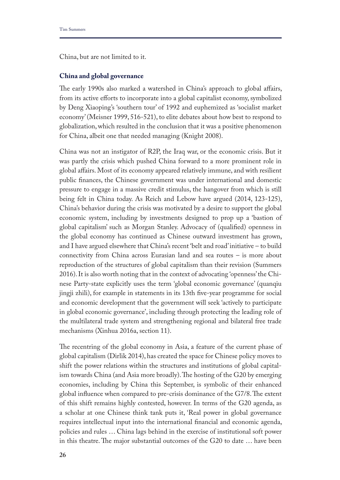China, but are not limited to it.

## **China and global governance**

The early 1990s also marked a watershed in China's approach to global affairs, from its active eforts to incorporate into a global capitalist economy, symbolized by Deng Xiaoping's 'southern tour' of 1992 and euphemized as 'socialist market economy' (Meisner 1999, 516-521), to elite debates about how best to respond to globalization, which resulted in the conclusion that it was a positive phenomenon for China, albeit one that needed managing (Knight 2008).

China was not an instigator of R2P, the Iraq war, or the economic crisis. But it was partly the crisis which pushed China forward to a more prominent role in global afairs. Most of its economy appeared relatively immune, and with resilient public fnances, the Chinese government was under international and domestic pressure to engage in a massive credit stimulus, the hangover from which is still being felt in China today. As Reich and Lebow have argued (2014, 123-125), China's behavior during the crisis was motivated by a desire to support the global economic system, including by investments designed to prop up a 'bastion of global capitalism' such as Morgan Stanley. Advocacy of (qualifed) openness in the global economy has continued as Chinese outward investment has grown, and I have argued elsewhere that China's recent 'belt and road' initiative – to build connectivity from China across Eurasian land and sea routes – is more about reproduction of the structures of global capitalism than their revision (Summers 2016). It is also worth noting that in the context of advocating 'openness' the Chinese Party-state explicitly uses the term 'global economic governance' (quanqiu jingji zhili), for example in statements in its 13th fve-year programme for social and economic development that the government will seek 'actively to participate in global economic governance', including through protecting the leading role of the multilateral trade system and strengthening regional and bilateral free trade mechanisms (Xinhua 2016a, section 11).

The recentring of the global economy in Asia, a feature of the current phase of global capitalism (Dirlik 2014), has created the space for Chinese policy moves to shift the power relations within the structures and institutions of global capitalism towards China (and Asia more broadly). The hosting of the G20 by emerging economies, including by China this September, is symbolic of their enhanced global influence when compared to pre-crisis dominance of the G7/8. The extent of this shift remains highly contested, however. In terms of the G20 agenda, as a scholar at one Chinese think tank puts it, 'Real power in global governance requires intellectual input into the international fnancial and economic agenda, policies and rules … China lags behind in the exercise of institutional soft power in this theatre. The major substantial outcomes of the G20 to date ... have been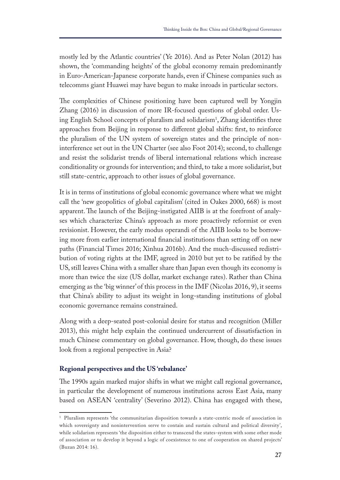mostly led by the Atlantic countries' (Ye 2016). And as Peter Nolan (2012) has shown, the 'commanding heights' of the global economy remain predominantly in Euro-American-Japanese corporate hands, even if Chinese companies such as telecomms giant Huawei may have begun to make inroads in particular sectors.

The complexities of Chinese positioning have been captured well by Yongjin Zhang (2016) in discussion of more IR-focused questions of global order. Using English School concepts of pluralism and solidarism<sup>1</sup>, Zhang identifies three approaches from Beijing in response to diferent global shifts: frst, to reinforce the pluralism of the UN system of sovereign states and the principle of noninterference set out in the UN Charter (see also Foot 2014); second, to challenge and resist the solidarist trends of liberal international relations which increase conditionality or grounds for intervention; and third, to take a more solidarist, but still state-centric, approach to other issues of global governance.

It is in terms of institutions of global economic governance where what we might call the 'new geopolitics of global capitalism' (cited in Oakes 2000, 668) is most apparent. The launch of the Beijing-instigated AIIB is at the forefront of analyses which characterize China's approach as more proactively reformist or even revisionist. However, the early modus operandi of the AIIB looks to be borrowing more from earlier international financial institutions than setting off on new paths (Financial Times 2016; Xinhua 2016b). And the much-discussed redistribution of voting rights at the IMF, agreed in 2010 but yet to be ratifed by the US, still leaves China with a smaller share than Japan even though its economy is more than twice the size (US dollar, market exchange rates). Rather than China emerging as the 'big winner' of this process in the IMF (Nicolas 2016, 9), it seems that China's ability to adjust its weight in long-standing institutions of global economic governance remains constrained.

Along with a deep-seated post-colonial desire for status and recognition (Miller 2013), this might help explain the continued undercurrent of dissatisfaction in much Chinese commentary on global governance. How, though, do these issues look from a regional perspective in Asia?

## **Regional perspectives and the US 'rebalance'**

The 1990s again marked major shifts in what we might call regional governance, in particular the development of numerous institutions across East Asia, many based on ASEAN 'centrality' (Severino 2012). China has engaged with these,

<sup>1</sup> Pluralism represents 'the communitarian disposition towards a state-centric mode of association in which sovereignty and nonintervention serve to contain and sustain cultural and political diversity', while solidarism represents 'the disposition either to transcend the states-system with some other mode of association or to develop it beyond a logic of coexistence to one of cooperation on shared projects' (Buzan 2014: 16).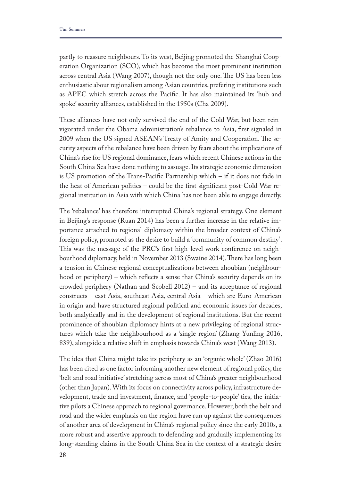partly to reassure neighbours. To its west, Beijing promoted the Shanghai Cooperation Organization (SCO), which has become the most prominent institution across central Asia (Wang 2007), though not the only one. The US has been less enthusiastic about regionalism among Asian countries, prefering institutions such as APEC which stretch across the Pacifc. It has also maintained its 'hub and spoke' security alliances, established in the 1950s (Cha 2009).

These alliances have not only survived the end of the Cold War, but been reinvigorated under the Obama administration's rebalance to Asia, frst signaled in 2009 when the US signed ASEAN's Treaty of Amity and Cooperation. The security aspects of the rebalance have been driven by fears about the implications of China's rise for US regional dominance, fears which recent Chinese actions in the South China Sea have done nothing to assuage. Its strategic economic dimension is US promotion of the Trans-Pacifc Partnership which – if it does not fade in the heat of American politics – could be the frst signifcant post-Cold War regional institution in Asia with which China has not been able to engage directly.

The 'rebalance' has therefore interrupted China's regional strategy. One element in Beijing's response (Ruan 2014) has been a further increase in the relative importance attached to regional diplomacy within the broader context of China's foreign policy, promoted as the desire to build a 'community of common destiny'. This was the message of the PRC's first high-level work conference on neighbourhood diplomacy, held in November 2013 (Swaine 2014). There has long been a tension in Chinese regional conceptualizations between zhoubian (neighbourhood or periphery) – which refects a sense that China's security depends on its crowded periphery (Nathan and Scobell 2012) – and its acceptance of regional constructs – east Asia, southeast Asia, central Asia – which are Euro-American in origin and have structured regional political and economic issues for decades, both analytically and in the development of regional institutions. But the recent prominence of zhoubian diplomacy hints at a new privileging of regional structures which take the neighbourhood as a 'single region' (Zhang Yunling 2016, 839), alongside a relative shift in emphasis towards China's west (Wang 2013).

The idea that China might take its periphery as an 'organic whole' (Zhao 2016) has been cited as one factor informing another new element of regional policy, the 'belt and road initiative' stretching across most of China's greater neighbourhood (other than Japan). With its focus on connectivity across policy, infrastructure development, trade and investment, fnance, and 'people-to-people' ties, the initiative pilots a Chinese approach to regional governance. However, both the belt and road and the wider emphasis on the region have run up against the consequences of another area of development in China's regional policy since the early 2010s, a more robust and assertive approach to defending and gradually implementing its long-standing claims in the South China Sea in the context of a strategic desire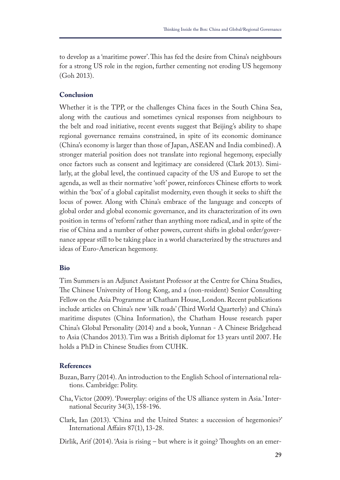to develop as a 'maritime power'. This has fed the desire from China's neighbours for a strong US role in the region, further cementing not eroding US hegemony (Goh 2013).

## **Conclusion**

Whether it is the TPP, or the challenges China faces in the South China Sea, along with the cautious and sometimes cynical responses from neighbours to the belt and road initiative, recent events suggest that Beijing's ability to shape regional governance remains constrained, in spite of its economic dominance (China's economy is larger than those of Japan, ASEAN and India combined). A stronger material position does not translate into regional hegemony, especially once factors such as consent and legitimacy are considered (Clark 2013). Similarly, at the global level, the continued capacity of the US and Europe to set the agenda, as well as their normative 'soft' power, reinforces Chinese efforts to work within the 'box' of a global capitalist modernity, even though it seeks to shift the locus of power. Along with China's embrace of the language and concepts of global order and global economic governance, and its characterization of its own position in terms of 'reform' rather than anything more radical, and in spite of the rise of China and a number of other powers, current shifts in global order/governance appear still to be taking place in a world characterized by the structures and ideas of Euro-American hegemony.

#### **Bio**

Tim Summers is an Adjunct Assistant Professor at the Centre for China Studies, The Chinese University of Hong Kong, and a (non-resident) Senior Consulting Fellow on the Asia Programme at Chatham House, London. Recent publications include articles on China's new 'silk roads' (Third World Quarterly) and China's maritime disputes (China Information), the Chatham House research paper China's Global Personality (2014) and a book, Yunnan - A Chinese Bridgehead to Asia (Chandos 2013). Tim was a British diplomat for 13 years until 2007. He holds a PhD in Chinese Studies from CUHK.

### **References**

- Buzan, Barry (2014). An introduction to the English School of international relations. Cambridge: Polity.
- Cha, Victor (2009). 'Powerplay: origins of the US alliance system in Asia.' International Security 34(3), 158-196.
- Clark, Ian (2013). 'China and the United States: a succession of hegemonies?' International Afairs 87(1), 13-28.
- Dirlik, Arif (2014). 'Asia is rising  $-$  but where is it going? Thoughts on an emer-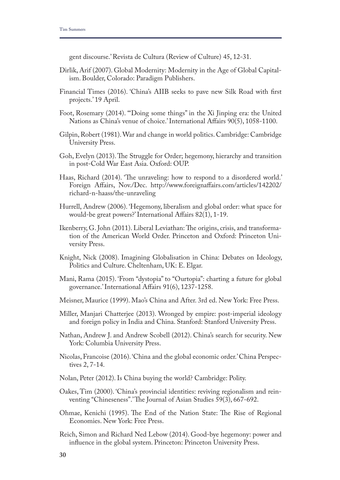gent discourse.' Revista de Cultura (Review of Culture) 45, 12-31.

- Dirlik, Arif (2007). Global Modernity: Modernity in the Age of Global Capitalism. Boulder, Colorado: Paradigm Publishers.
- Financial Times (2016). 'China's AIIB seeks to pave new Silk Road with frst projects.' 19 April.
- Foot, Rosemary (2014). '"Doing some things" in the Xi Jinping era: the United Nations as China's venue of choice.' International Afairs 90(5), 1058-1100.
- Gilpin, Robert (1981). War and change in world politics. Cambridge: Cambridge University Press.
- Goh, Evelyn (2013). The Struggle for Order; hegemony, hierarchy and transition in post-Cold War East Asia. Oxford: OUP.
- Haas, Richard (2014). 'The unraveling: how to respond to a disordered world.' Foreign Afairs, Nov./Dec. http://www.foreignafairs.com/articles/142202/ richard-n-haass/the-unraveling
- Hurrell, Andrew (2006). 'Hegemony, liberalism and global order: what space for would-be great powers?' International Afairs 82(1), 1-19.
- Ikenberry, G. John (2011). Liberal Leviathan: The origins, crisis, and transformation of the American World Order. Princeton and Oxford: Princeton University Press.
- Knight, Nick (2008). Imagining Globalisation in China: Debates on Ideology, Politics and Culture. Cheltenham, UK: E. Elgar.
- Mani, Rama (2015). 'From "dystopia" to "Ourtopia": charting a future for global governance.' International Afairs 91(6), 1237-1258.
- Meisner, Maurice (1999). Mao's China and After. 3rd ed. New York: Free Press.
- Miller, Manjari Chatterjee (2013). Wronged by empire: post-imperial ideology and foreign policy in India and China. Stanford: Stanford University Press.
- Nathan, Andrew J. and Andrew Scobell (2012). China's search for security. New York: Columbia University Press.
- Nicolas, Francoise (2016). 'China and the global economic order.' China Perspectives 2, 7-14.
- Nolan, Peter (2012). Is China buying the world? Cambridge: Polity.
- Oakes, Tim (2000). 'China's provincial identities: reviving regionalism and reinventing "Chineseness".' The Journal of Asian Studies 59(3), 667-692.
- Ohmae, Kenichi (1995). The End of the Nation State: The Rise of Regional Economies. New York: Free Press.
- Reich, Simon and Richard Ned Lebow (2014). Good-bye hegemony: power and infuence in the global system. Princeton: Princeton University Press.